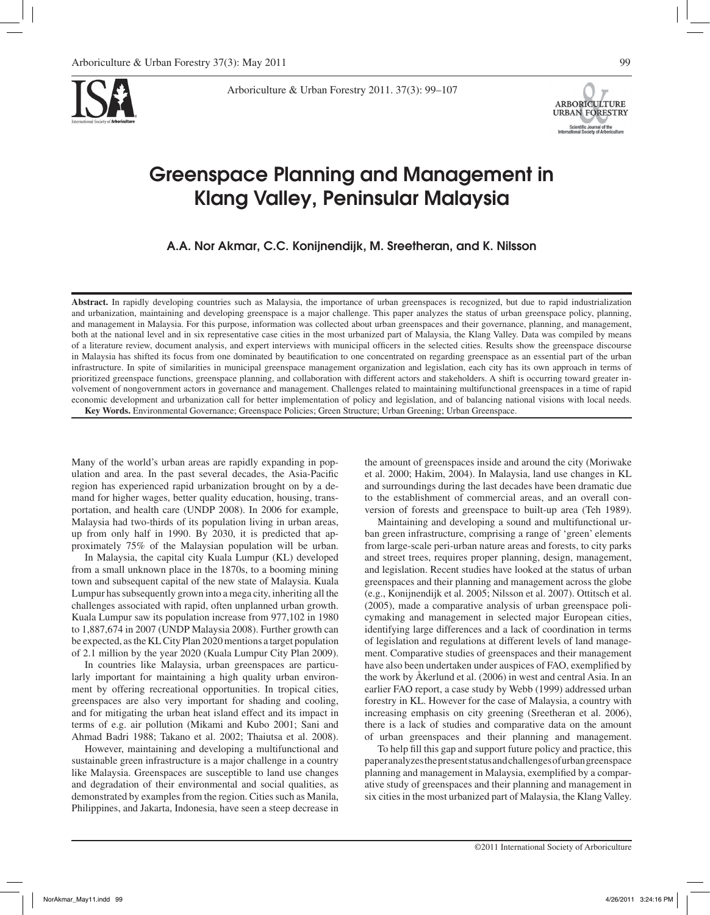

Arboriculture & Urban Forestry 2011. 37(3): 99–107



# Greenspace Planning and Management in Klang Valley, Peninsular Malaysia

A.A. Nor Akmar, C.C. Konijnendijk, M. Sreetheran, and K. Nilsson

**Abstract.** In rapidly developing countries such as Malaysia, the importance of urban greenspaces is recognized, but due to rapid industrialization and urbanization, maintaining and developing greenspace is a major challenge. This paper analyzes the status of urban greenspace policy, planning, and management in Malaysia. For this purpose, information was collected about urban greenspaces and their governance, planning, and management, both at the national level and in six representative case cities in the most urbanized part of Malaysia, the Klang Valley. Data was compiled by means of a literature review, document analysis, and expert interviews with municipal officers in the selected cities. Results show the greenspace discourse in Malaysia has shifted its focus from one dominated by beautification to one concentrated on regarding greenspace as an essential part of the urban infrastructure. In spite of similarities in municipal greenspace management organization and legislation, each city has its own approach in terms of prioritized greenspace functions, greenspace planning, and collaboration with different actors and stakeholders. A shift is occurring toward greater involvement of nongovernment actors in governance and management. Challenges related to maintaining multifunctional greenspaces in a time of rapid economic development and urbanization call for better implementation of policy and legislation, and of balancing national visions with local needs. **Key Words.** Environmental Governance; Greenspace Policies; Green Structure; Urban Greening; Urban Greenspace.

Many of the world's urban areas are rapidly expanding in population and area. In the past several decades, the Asia-Pacific region has experienced rapid urbanization brought on by a demand for higher wages, better quality education, housing, transportation, and health care (UNDP 2008). In 2006 for example, Malaysia had two-thirds of its population living in urban areas, up from only half in 1990. By 2030, it is predicted that approximately 75% of the Malaysian population will be urban.

In Malaysia, the capital city Kuala Lumpur (KL) developed from a small unknown place in the 1870s, to a booming mining town and subsequent capital of the new state of Malaysia. Kuala Lumpur has subsequently grown into a mega city, inheriting all the challenges associated with rapid, often unplanned urban growth. Kuala Lumpur saw its population increase from 977,102 in 1980 to 1,887,674 in 2007 (UNDP Malaysia 2008). Further growth can be expected, as the KL City Plan 2020 mentions a target population of 2.1 million by the year 2020 (Kuala Lumpur City Plan 2009).

In countries like Malaysia, urban greenspaces are particularly important for maintaining a high quality urban environment by offering recreational opportunities. In tropical cities, greenspaces are also very important for shading and cooling, and for mitigating the urban heat island effect and its impact in terms of e.g. air pollution (Mikami and Kubo 2001; Sani and Ahmad Badri 1988; Takano et al. 2002; Thaiutsa et al. 2008).

However, maintaining and developing a multifunctional and sustainable green infrastructure is a major challenge in a country like Malaysia. Greenspaces are susceptible to land use changes and degradation of their environmental and social qualities, as demonstrated by examples from the region. Cities such as Manila, Philippines, and Jakarta, Indonesia, have seen a steep decrease in the amount of greenspaces inside and around the city (Moriwake et al. 2000; Hakim, 2004). In Malaysia, land use changes in KL and surroundings during the last decades have been dramatic due to the establishment of commercial areas, and an overall conversion of forests and greenspace to built-up area (Teh 1989).

Maintaining and developing a sound and multifunctional urban green infrastructure, comprising a range of 'green' elements from large-scale peri-urban nature areas and forests, to city parks and street trees, requires proper planning, design, management, and legislation. Recent studies have looked at the status of urban greenspaces and their planning and management across the globe (e.g., Konijnendijk et al. 2005; Nilsson et al. 2007). Ottitsch et al. (2005), made a comparative analysis of urban greenspace policymaking and management in selected major European cities, identifying large differences and a lack of coordination in terms of legislation and regulations at different levels of land management. Comparative studies of greenspaces and their management have also been undertaken under auspices of FAO, exemplified by the work by Åkerlund et al. (2006) in west and central Asia. In an earlier FAO report, a case study by Webb (1999) addressed urban forestry in KL. However for the case of Malaysia, a country with increasing emphasis on city greening (Sreetheran et al. 2006), there is a lack of studies and comparative data on the amount of urban greenspaces and their planning and management.

To help fill this gap and support future policy and practice, this paper analyzes the present status and challenges of urban greenspace planning and management in Malaysia, exemplified by a comparative study of greenspaces and their planning and management in six cities in the most urbanized part of Malaysia, the Klang Valley.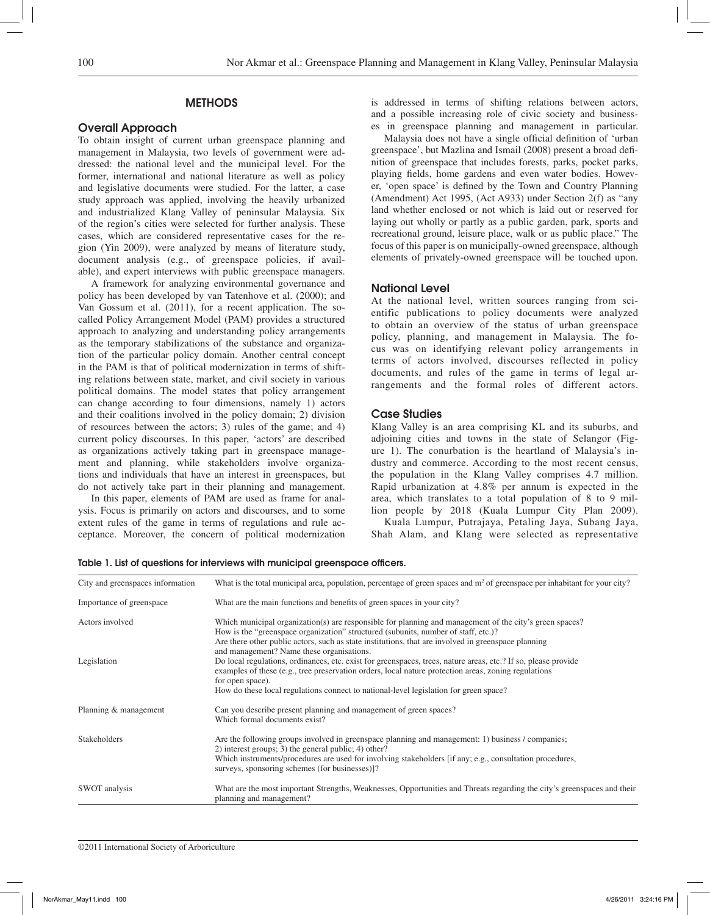# **METHODS**

# Overall Approach

To obtain insight of current urban greenspace planning and management in Malaysia, two levels of government were addressed: the national level and the municipal level. For the former, international and national literature as well as policy and legislative documents were studied. For the latter, a case study approach was applied, involving the heavily urbanized and industrialized Klang Valley of peninsular Malaysia. Six of the region's cities were selected for further analysis. These cases, which are considered representative cases for the region (Yin 2009), were analyzed by means of literature study, document analysis (e.g., of greenspace policies, if available), and expert interviews with public greenspace managers.

A framework for analyzing environmental governance and policy has been developed by van Tatenhove et al. (2000); and Van Gossum et al. (2011), for a recent application. The socalled Policy Arrangement Model (PAM) provides a structured approach to analyzing and understanding policy arrangements as the temporary stabilizations of the substance and organization of the particular policy domain. Another central concept in the PAM is that of political modernization in terms of shifting relations between state, market, and civil society in various political domains. The model states that policy arrangement can change according to four dimensions, namely 1) actors and their coalitions involved in the policy domain; 2) division of resources between the actors; 3) rules of the game; and 4) current policy discourses. In this paper, 'actors' are described as organizations actively taking part in greenspace management and planning, while stakeholders involve organizations and individuals that have an interest in greenspaces, but do not actively take part in their planning and management.

In this paper, elements of PAM are used as frame for analysis. Focus is primarily on actors and discourses, and to some extent rules of the game in terms of regulations and rule acceptance. Moreover, the concern of political modernization is addressed in terms of shifting relations between actors, and a possible increasing role of civic society and businesses in greenspace planning and management in particular.

Malaysia does not have a single official definition of 'urban greenspace', but Mazlina and Ismail (2008) present a broad definition of greenspace that includes forests, parks, pocket parks, playing fields, home gardens and even water bodies. However, 'open space' is defined by the Town and Country Planning (Amendment) Act 1995, (Act A933) under Section 2(f) as "any land whether enclosed or not which is laid out or reserved for laying out wholly or partly as a public garden, park, sports and recreational ground, leisure place, walk or as public place." The focus of this paper is on municipally-owned greenspace, although elements of privately-owned greenspace will be touched upon.

# National Level

At the national level, written sources ranging from scientific publications to policy documents were analyzed to obtain an overview of the status of urban greenspace policy, planning, and management in Malaysia. The focus was on identifying relevant policy arrangements in terms of actors involved, discourses reflected in policy documents, and rules of the game in terms of legal arrangements and the formal roles of different actors.

## Case Studies

Klang Valley is an area comprising KL and its suburbs, and adjoining cities and towns in the state of Selangor (Figure 1). The conurbation is the heartland of Malaysia's industry and commerce. According to the most recent census, the population in the Klang Valley comprises 4.7 million. Rapid urbanization at 4.8% per annum is expected in the area, which translates to a total population of 8 to 9 million people by 2018 (Kuala Lumpur City Plan 2009).

Kuala Lumpur, Putrajaya, Petaling Jaya, Subang Jaya, Shah Alam, and Klang were selected as representative

| City and greenspaces information | What is the total municipal area, population, percentage of green spaces and $m2$ of greenspace per inhabitant for your city?                                                                                                                                                                                                                                                    |  |  |  |
|----------------------------------|----------------------------------------------------------------------------------------------------------------------------------------------------------------------------------------------------------------------------------------------------------------------------------------------------------------------------------------------------------------------------------|--|--|--|
| Importance of greenspace         | What are the main functions and benefits of green spaces in your city?                                                                                                                                                                                                                                                                                                           |  |  |  |
| Actors involved                  | Which municipal organization(s) are responsible for planning and management of the city's green spaces?<br>How is the "greenspace organization" structured (subunits, number of staff, etc.)?<br>Are there other public actors, such as state institutions, that are involved in greenspace planning                                                                             |  |  |  |
| Legislation                      | and management? Name these organisations.<br>Do local regulations, ordinances, etc. exist for greenspaces, trees, nature areas, etc.? If so, please provide<br>examples of these (e.g., tree preservation orders, local nature protection areas, zoning regulations<br>for open space).<br>How do these local regulations connect to national-level legislation for green space? |  |  |  |
| Planning & management            | Can you describe present planning and management of green spaces?<br>Which formal documents exist?                                                                                                                                                                                                                                                                               |  |  |  |
| <b>Stakeholders</b>              | Are the following groups involved in greenspace planning and management: 1) business / companies;<br>2) interest groups; 3) the general public; 4) other?<br>Which instruments/procedures are used for involving stakeholders [if any; e.g., consultation procedures,<br>surveys, sponsoring schemes (for businesses)]?                                                          |  |  |  |
| SWOT analysis                    | What are the most important Strengths, Weaknesses, Opportunities and Threats regarding the city's greenspaces and their<br>planning and management?                                                                                                                                                                                                                              |  |  |  |

Table 1. List of questions for interviews with municipal greenspace officers.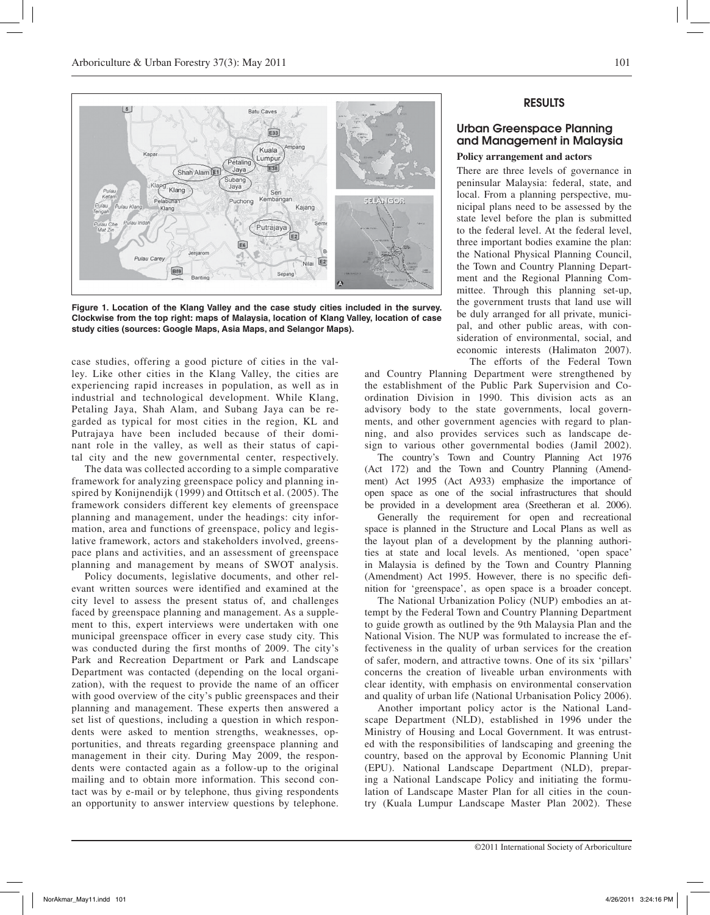

**Figure 1. Location of the Klang Valley and the case study cities included in the survey. Clockwise from the top right: maps of Malaysia, location of Klang Valley, location of case study cities (sources: Google Maps, Asia Maps, and Selangor Maps).**

case studies, offering a good picture of cities in the valley. Like other cities in the Klang Valley, the cities are experiencing rapid increases in population, as well as in industrial and technological development. While Klang, Petaling Jaya, Shah Alam, and Subang Jaya can be regarded as typical for most cities in the region, KL and Putrajaya have been included because of their dominant role in the valley, as well as their status of capital city and the new governmental center, respectively.

The data was collected according to a simple comparative framework for analyzing greenspace policy and planning inspired by Konijnendijk (1999) and Ottitsch et al. (2005). The framework considers different key elements of greenspace planning and management, under the headings: city information, area and functions of greenspace, policy and legislative framework, actors and stakeholders involved, greenspace plans and activities, and an assessment of greenspace planning and management by means of SWOT analysis.

Policy documents, legislative documents, and other relevant written sources were identified and examined at the city level to assess the present status of, and challenges faced by greenspace planning and management. As a supplement to this, expert interviews were undertaken with one municipal greenspace officer in every case study city. This was conducted during the first months of 2009. The city's Park and Recreation Department or Park and Landscape Department was contacted (depending on the local organization), with the request to provide the name of an officer with good overview of the city's public greenspaces and their planning and management. These experts then answered a set list of questions, including a question in which respondents were asked to mention strengths, weaknesses, opportunities, and threats regarding greenspace planning and management in their city. During May 2009, the respondents were contacted again as a follow-up to the original mailing and to obtain more information. This second contact was by e-mail or by telephone, thus giving respondents an opportunity to answer interview questions by telephone.

# RESULTS

# Urban Greenspace Planning and Management in Malaysia

## **Policy arrangement and actors**

There are three levels of governance in peninsular Malaysia: federal, state, and local. From a planning perspective, municipal plans need to be assessed by the state level before the plan is submitted to the federal level. At the federal level, three important bodies examine the plan: the National Physical Planning Council, the Town and Country Planning Department and the Regional Planning Committee. Through this planning set-up, the government trusts that land use will be duly arranged for all private, municipal, and other public areas, with consideration of environmental, social, and economic interests (Halimaton 2007). The efforts of the Federal Town

and Country Planning Department were strengthened by the establishment of the Public Park Supervision and Coordination Division in 1990. This division acts as an advisory body to the state governments, local governments, and other government agencies with regard to planning, and also provides services such as landscape design to various other governmental bodies (Jamil 2002).

The country's Town and Country Planning Act 1976 (Act 172) and the Town and Country Planning (Amendment) Act 1995 (Act A933) emphasize the importance of open space as one of the social infrastructures that should be provided in a development area (Sreetheran et al. 2006).

Generally the requirement for open and recreational space is planned in the Structure and Local Plans as well as the layout plan of a development by the planning authorities at state and local levels. As mentioned, 'open space' in Malaysia is defined by the Town and Country Planning (Amendment) Act 1995. However, there is no specific definition for 'greenspace', as open space is a broader concept.

The National Urbanization Policy (NUP) embodies an attempt by the Federal Town and Country Planning Department to guide growth as outlined by the 9th Malaysia Plan and the National Vision. The NUP was formulated to increase the effectiveness in the quality of urban services for the creation of safer, modern, and attractive towns. One of its six 'pillars' concerns the creation of liveable urban environments with clear identity, with emphasis on environmental conservation and quality of urban life (National Urbanisation Policy 2006).

Another important policy actor is the National Landscape Department (NLD), established in 1996 under the Ministry of Housing and Local Government. It was entrusted with the responsibilities of landscaping and greening the country, based on the approval by Economic Planning Unit (EPU). National Landscape Department (NLD), preparing a National Landscape Policy and initiating the formulation of Landscape Master Plan for all cities in the country (Kuala Lumpur Landscape Master Plan 2002). These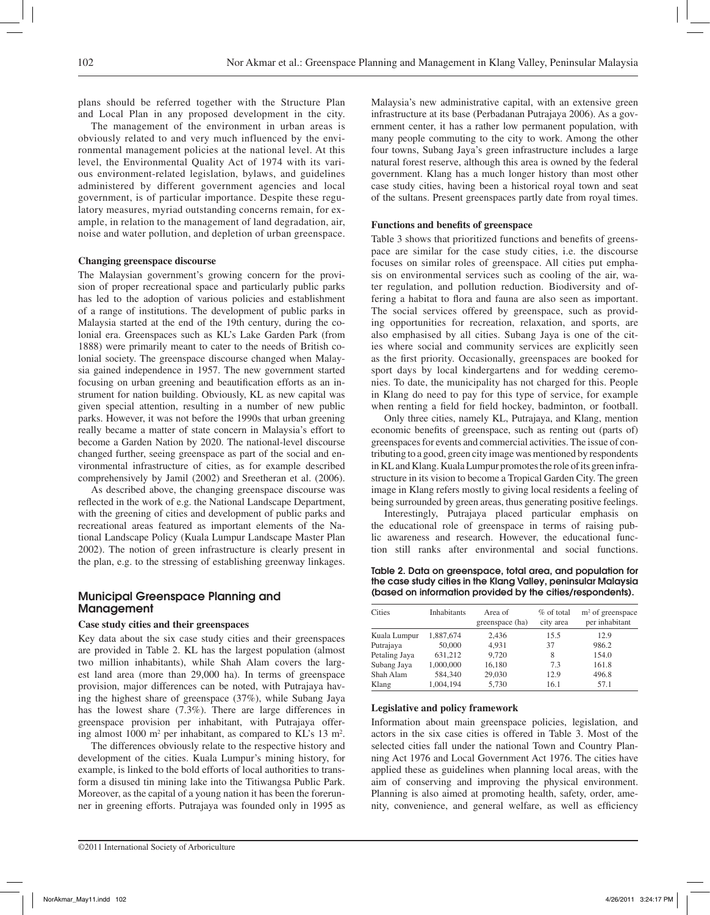plans should be referred together with the Structure Plan and Local Plan in any proposed development in the city.

The management of the environment in urban areas is obviously related to and very much influenced by the environmental management policies at the national level. At this level, the Environmental Quality Act of 1974 with its various environment-related legislation, bylaws, and guidelines administered by different government agencies and local government, is of particular importance. Despite these regulatory measures, myriad outstanding concerns remain, for example, in relation to the management of land degradation, air, noise and water pollution, and depletion of urban greenspace.

#### **Changing greenspace discourse**

The Malaysian government's growing concern for the provision of proper recreational space and particularly public parks has led to the adoption of various policies and establishment of a range of institutions. The development of public parks in Malaysia started at the end of the 19th century, during the colonial era. Greenspaces such as KL's Lake Garden Park (from 1888) were primarily meant to cater to the needs of British colonial society. The greenspace discourse changed when Malaysia gained independence in 1957. The new government started focusing on urban greening and beautification efforts as an instrument for nation building. Obviously, KL as new capital was given special attention, resulting in a number of new public parks. However, it was not before the 1990s that urban greening really became a matter of state concern in Malaysia's effort to become a Garden Nation by 2020. The national-level discourse changed further, seeing greenspace as part of the social and environmental infrastructure of cities, as for example described comprehensively by Jamil (2002) and Sreetheran et al. (2006).

As described above, the changing greenspace discourse was reflected in the work of e.g. the National Landscape Department, with the greening of cities and development of public parks and recreational areas featured as important elements of the National Landscape Policy (Kuala Lumpur Landscape Master Plan 2002). The notion of green infrastructure is clearly present in the plan, e.g. to the stressing of establishing greenway linkages.

# Municipal Greenspace Planning and Management

## **Case study cities and their greenspaces**

Key data about the six case study cities and their greenspaces are provided in Table 2. KL has the largest population (almost two million inhabitants), while Shah Alam covers the largest land area (more than 29,000 ha). In terms of greenspace provision, major differences can be noted, with Putrajaya having the highest share of greenspace (37%), while Subang Jaya has the lowest share (7.3%). There are large differences in greenspace provision per inhabitant, with Putrajaya offering almost 1000 m<sup>2</sup> per inhabitant, as compared to KL's 13 m<sup>2</sup>.

The differences obviously relate to the respective history and development of the cities. Kuala Lumpur's mining history, for example, is linked to the bold efforts of local authorities to transform a disused tin mining lake into the Titiwangsa Public Park. Moreover, as the capital of a young nation it has been the forerunner in greening efforts. Putrajaya was founded only in 1995 as

Malaysia's new administrative capital, with an extensive green infrastructure at its base (Perbadanan Putrajaya 2006). As a government center, it has a rather low permanent population, with many people commuting to the city to work. Among the other four towns, Subang Jaya's green infrastructure includes a large natural forest reserve, although this area is owned by the federal government. Klang has a much longer history than most other case study cities, having been a historical royal town and seat of the sultans. Present greenspaces partly date from royal times.

#### **Functions and benefits of greenspace**

Table 3 shows that prioritized functions and benefits of greenspace are similar for the case study cities, i.e. the discourse focuses on similar roles of greenspace. All cities put emphasis on environmental services such as cooling of the air, water regulation, and pollution reduction. Biodiversity and offering a habitat to flora and fauna are also seen as important. The social services offered by greenspace, such as providing opportunities for recreation, relaxation, and sports, are also emphasised by all cities. Subang Jaya is one of the cities where social and community services are explicitly seen as the first priority. Occasionally, greenspaces are booked for sport days by local kindergartens and for wedding ceremonies. To date, the municipality has not charged for this. People in Klang do need to pay for this type of service, for example when renting a field for field hockey, badminton, or football.

Only three cities, namely KL, Putrajaya, and Klang, mention economic benefits of greenspace, such as renting out (parts of) greenspaces for events and commercial activities. The issue of contributing to a good, green city image was mentioned by respondents in KL and Klang. Kuala Lumpur promotes the role of its green infrastructure in its vision to become a Tropical Garden City. The green image in Klang refers mostly to giving local residents a feeling of being surrounded by green areas, thus generating positive feelings.

Interestingly, Putrajaya placed particular emphasis on the educational role of greenspace in terms of raising public awareness and research. However, the educational function still ranks after environmental and social functions.

Table 2. Data on greenspace, total area, and population for the case study cities in the Klang Valley, peninsular Malaysia (based on information provided by the cities/respondents).

| Cities        | <b>Inhabitants</b> | Area of<br>greenspace (ha) | $%$ of total<br>city area | $m2$ of greenspace<br>per inhabitant |
|---------------|--------------------|----------------------------|---------------------------|--------------------------------------|
| Kuala Lumpur  | 1.887.674          | 2.436                      | 15.5                      | 12.9                                 |
| Putrajaya     | 50,000             | 4.931                      | 37                        | 986.2                                |
| Petaling Jaya | 631,212            | 9,720                      | 8                         | 154.0                                |
| Subang Jaya   | 1,000,000          | 16,180                     | 7.3                       | 161.8                                |
| Shah Alam     | 584,340            | 29,030                     | 12.9                      | 496.8                                |
| Klang         | 1.004.194          | 5,730                      | 16.1                      | 57.1                                 |

#### **Legislative and policy framework**

Information about main greenspace policies, legislation, and actors in the six case cities is offered in Table 3. Most of the selected cities fall under the national Town and Country Planning Act 1976 and Local Government Act 1976. The cities have applied these as guidelines when planning local areas, with the aim of conserving and improving the physical environment. Planning is also aimed at promoting health, safety, order, amenity, convenience, and general welfare, as well as efficiency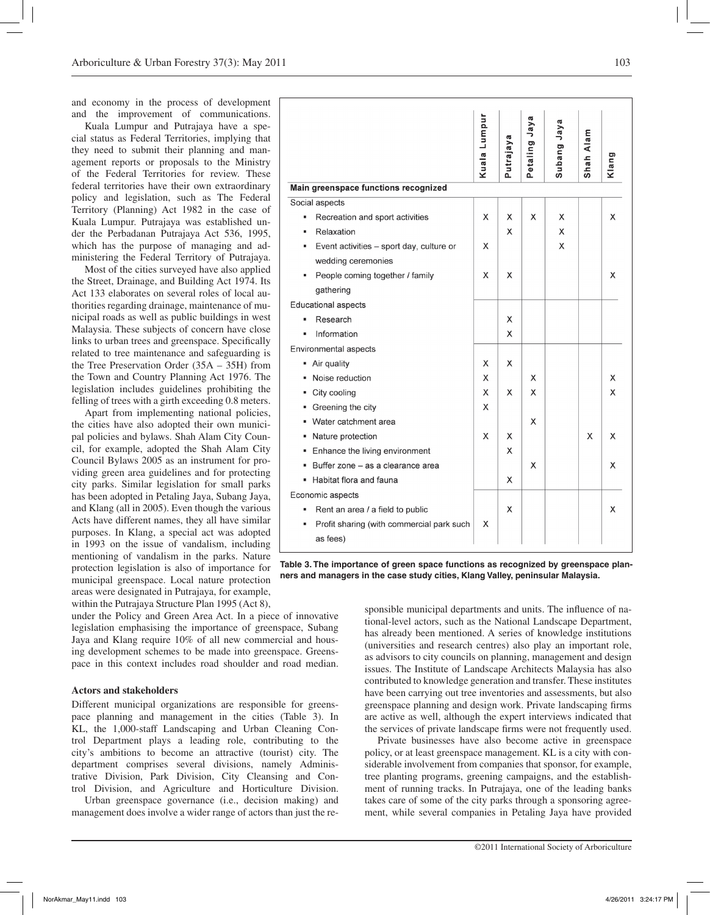and economy in the process of development and the improvement of communications.

Kuala Lumpur and Putrajaya have a special status as Federal Territories, implying that they need to submit their planning and management reports or proposals to the Ministry of the Federal Territories for review. These federal territories have their own extraordinary policy and legislation, such as The Federal Territory (Planning) Act 1982 in the case of Kuala Lumpur. Putrajaya was established under the Perbadanan Putrajaya Act 536, 1995, which has the purpose of managing and administering the Federal Territory of Putrajaya.

Most of the cities surveyed have also applied the Street, Drainage, and Building Act 1974. Its Act 133 elaborates on several roles of local authorities regarding drainage, maintenance of municipal roads as well as public buildings in west Malaysia. These subjects of concern have close links to urban trees and greenspace. Specifically related to tree maintenance and safeguarding is the Tree Preservation Order (35A – 35H) from the Town and Country Planning Act 1976. The legislation includes guidelines prohibiting the felling of trees with a girth exceeding 0.8 meters.

Apart from implementing national policies, the cities have also adopted their own municipal policies and bylaws. Shah Alam City Council, for example, adopted the Shah Alam City Council Bylaws 2005 as an instrument for providing green area guidelines and for protecting city parks. Similar legislation for small parks has been adopted in Petaling Jaya, Subang Jaya, and Klang (all in 2005). Even though the various Acts have different names, they all have similar purposes. In Klang, a special act was adopted in 1993 on the issue of vandalism, including mentioning of vandalism in the parks. Nature protection legislation is also of importance for municipal greenspace. Local nature protection areas were designated in Putrajaya, for example, within the Putrajaya Structure Plan 1995 (Act 8),

under the Policy and Green Area Act. In a piece of innovative legislation emphasising the importance of greenspace, Subang Jaya and Klang require 10% of all new commercial and housing development schemes to be made into greenspace. Greenspace in this context includes road shoulder and road median.

#### **Actors and stakeholders**

Different municipal organizations are responsible for greenspace planning and management in the cities (Table 3). In KL, the 1,000-staff Landscaping and Urban Cleaning Control Department plays a leading role, contributing to the city's ambitions to become an attractive (tourist) city. The department comprises several divisions, namely Administrative Division, Park Division, City Cleansing and Control Division, and Agriculture and Horticulture Division.

Urban greenspace governance (i.e., decision making) and management does involve a wider range of actors than just the re-

|                                                | Kuala Lumpur | Putrajaya | Jaya<br>Petaling | Subang Jaya | Shah Alam | Klang |
|------------------------------------------------|--------------|-----------|------------------|-------------|-----------|-------|
| Main greenspace functions recognized           |              |           |                  |             |           |       |
| Social aspects                                 |              |           |                  |             |           |       |
| Recreation and sport activities<br>٠           | X            | X         | X                | X           |           | X     |
| Relaxation<br>٠                                |              | X         |                  | х           |           |       |
| Event activities - sport day, culture or<br>g, | X            |           |                  | х           |           |       |
| wedding ceremonies                             |              |           |                  |             |           |       |
| People coming together / family                | X            | X         |                  |             |           | х     |
| gathering                                      |              |           |                  |             |           |       |
| <b>Educational aspects</b>                     |              |           |                  |             |           |       |
| Research                                       |              | х         |                  |             |           |       |
| Information                                    |              | X         |                  |             |           |       |
| Environmental aspects                          |              |           |                  |             |           |       |
| Air quality<br>٠                               | X            | х         |                  |             |           |       |
| Noise reduction                                | X            |           | X                |             |           | х     |
| City cooling                                   | X            | X         | X                |             |           | х     |
| Greening the city                              | X            |           |                  |             |           |       |
| Water catchment area                           |              |           | X                |             |           |       |
| Nature protection                              | X            | x         |                  |             | X         | X     |
| Enhance the living environment                 |              | X         |                  |             |           |       |
| Buffer zone - as a clearance area              |              |           | X                |             |           | X     |
| Habitat flora and fauna                        |              | X         |                  |             |           |       |
| Economic aspects                               |              |           |                  |             |           |       |
| Rent an area / a field to public               |              | X         |                  |             |           | х     |
| Profit sharing (with commercial park such      | х            |           |                  |             |           |       |
| as fees)                                       |              |           |                  |             |           |       |
|                                                |              |           |                  |             |           |       |

**Table 3. The importance of green space functions as recognized by greenspace planners and managers in the case study cities, Klang Valley, peninsular Malaysia.**

sponsible municipal departments and units. The influence of national-level actors, such as the National Landscape Department, has already been mentioned. A series of knowledge institutions (universities and research centres) also play an important role, as advisors to city councils on planning, management and design issues. The Institute of Landscape Architects Malaysia has also contributed to knowledge generation and transfer. These institutes have been carrying out tree inventories and assessments, but also greenspace planning and design work. Private landscaping firms are active as well, although the expert interviews indicated that the services of private landscape firms were not frequently used.

Private businesses have also become active in greenspace policy, or at least greenspace management. KL is a city with considerable involvement from companies that sponsor, for example, tree planting programs, greening campaigns, and the establishment of running tracks. In Putrajaya, one of the leading banks takes care of some of the city parks through a sponsoring agreement, while several companies in Petaling Jaya have provided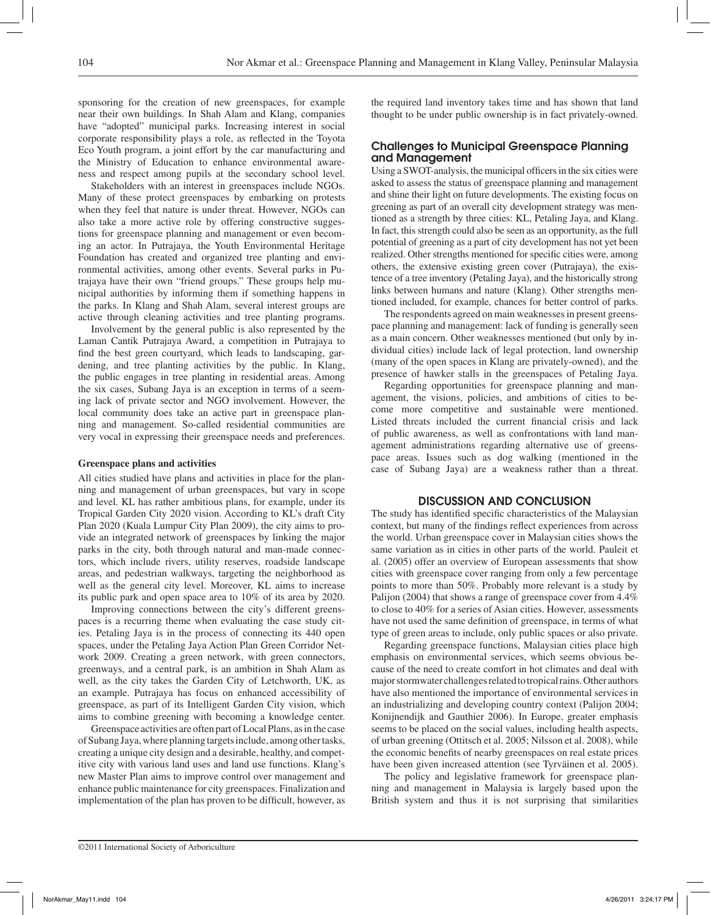sponsoring for the creation of new greenspaces, for example near their own buildings. In Shah Alam and Klang, companies have "adopted" municipal parks. Increasing interest in social corporate responsibility plays a role, as reflected in the Toyota Eco Youth program, a joint effort by the car manufacturing and the Ministry of Education to enhance environmental awareness and respect among pupils at the secondary school level.

Stakeholders with an interest in greenspaces include NGOs. Many of these protect greenspaces by embarking on protests when they feel that nature is under threat. However, NGOs can also take a more active role by offering constructive suggestions for greenspace planning and management or even becoming an actor. In Putrajaya, the Youth Environmental Heritage Foundation has created and organized tree planting and environmental activities, among other events. Several parks in Putrajaya have their own "friend groups." These groups help municipal authorities by informing them if something happens in the parks. In Klang and Shah Alam, several interest groups are active through cleaning activities and tree planting programs.

Involvement by the general public is also represented by the Laman Cantik Putrajaya Award, a competition in Putrajaya to find the best green courtyard, which leads to landscaping, gardening, and tree planting activities by the public. In Klang, the public engages in tree planting in residential areas. Among the six cases, Subang Jaya is an exception in terms of a seeming lack of private sector and NGO involvement. However, the local community does take an active part in greenspace planning and management. So-called residential communities are very vocal in expressing their greenspace needs and preferences.

### **Greenspace plans and activities**

All cities studied have plans and activities in place for the planning and management of urban greenspaces, but vary in scope and level. KL has rather ambitious plans, for example, under its Tropical Garden City 2020 vision. According to KL's draft City Plan 2020 (Kuala Lumpur City Plan 2009), the city aims to provide an integrated network of greenspaces by linking the major parks in the city, both through natural and man-made connectors, which include rivers, utility reserves, roadside landscape areas, and pedestrian walkways, targeting the neighborhood as well as the general city level. Moreover, KL aims to increase its public park and open space area to 10% of its area by 2020.

Improving connections between the city's different greenspaces is a recurring theme when evaluating the case study cities. Petaling Jaya is in the process of connecting its 440 open spaces, under the Petaling Jaya Action Plan Green Corridor Network 2009. Creating a green network, with green connectors, greenways, and a central park, is an ambition in Shah Alam as well, as the city takes the Garden City of Letchworth, UK, as an example. Putrajaya has focus on enhanced accessibility of greenspace, as part of its Intelligent Garden City vision, which aims to combine greening with becoming a knowledge center.

Greenspace activities are often part of Local Plans, as in the case of Subang Jaya, where planning targets include, among other tasks, creating a unique city design and a desirable, healthy, and competitive city with various land uses and land use functions. Klang's new Master Plan aims to improve control over management and enhance public maintenance for city greenspaces. Finalization and implementation of the plan has proven to be difficult, however, as

the required land inventory takes time and has shown that land thought to be under public ownership is in fact privately-owned.

# Challenges to Municipal Greenspace Planning and Management

Using a SWOT-analysis, the municipal officers in the six cities were asked to assess the status of greenspace planning and management and shine their light on future developments. The existing focus on greening as part of an overall city development strategy was mentioned as a strength by three cities: KL, Petaling Jaya, and Klang. In fact, this strength could also be seen as an opportunity, as the full potential of greening as a part of city development has not yet been realized. Other strengths mentioned for specific cities were, among others, the extensive existing green cover (Putrajaya), the existence of a tree inventory (Petaling Jaya), and the historically strong links between humans and nature (Klang). Other strengths mentioned included, for example, chances for better control of parks.

The respondents agreed on main weaknesses in present greenspace planning and management: lack of funding is generally seen as a main concern. Other weaknesses mentioned (but only by individual cities) include lack of legal protection, land ownership (many of the open spaces in Klang are privately-owned), and the presence of hawker stalls in the greenspaces of Petaling Jaya.

Regarding opportunities for greenspace planning and management, the visions, policies, and ambitions of cities to become more competitive and sustainable were mentioned. Listed threats included the current financial crisis and lack of public awareness, as well as confrontations with land management administrations regarding alternative use of greenspace areas. Issues such as dog walking (mentioned in the case of Subang Jaya) are a weakness rather than a threat.

# DISCUSSION AND CONCLUSION

The study has identified specific characteristics of the Malaysian context, but many of the findings reflect experiences from across the world. Urban greenspace cover in Malaysian cities shows the same variation as in cities in other parts of the world. Pauleit et al. (2005) offer an overview of European assessments that show cities with greenspace cover ranging from only a few percentage points to more than 50%. Probably more relevant is a study by Palijon (2004) that shows a range of greenspace cover from 4.4% to close to 40% for a series of Asian cities. However, assessments have not used the same definition of greenspace, in terms of what type of green areas to include, only public spaces or also private.

Regarding greenspace functions, Malaysian cities place high emphasis on environmental services, which seems obvious because of the need to create comfort in hot climates and deal with major stormwater challenges related to tropical rains. Other authors have also mentioned the importance of environmental services in an industrializing and developing country context (Palijon 2004; Konijnendijk and Gauthier 2006). In Europe, greater emphasis seems to be placed on the social values, including health aspects, of urban greening (Ottitsch et al. 2005; Nilsson et al. 2008), while the economic benefits of nearby greenspaces on real estate prices have been given increased attention (see Tyrväinen et al. 2005).

The policy and legislative framework for greenspace planning and management in Malaysia is largely based upon the British system and thus it is not surprising that similarities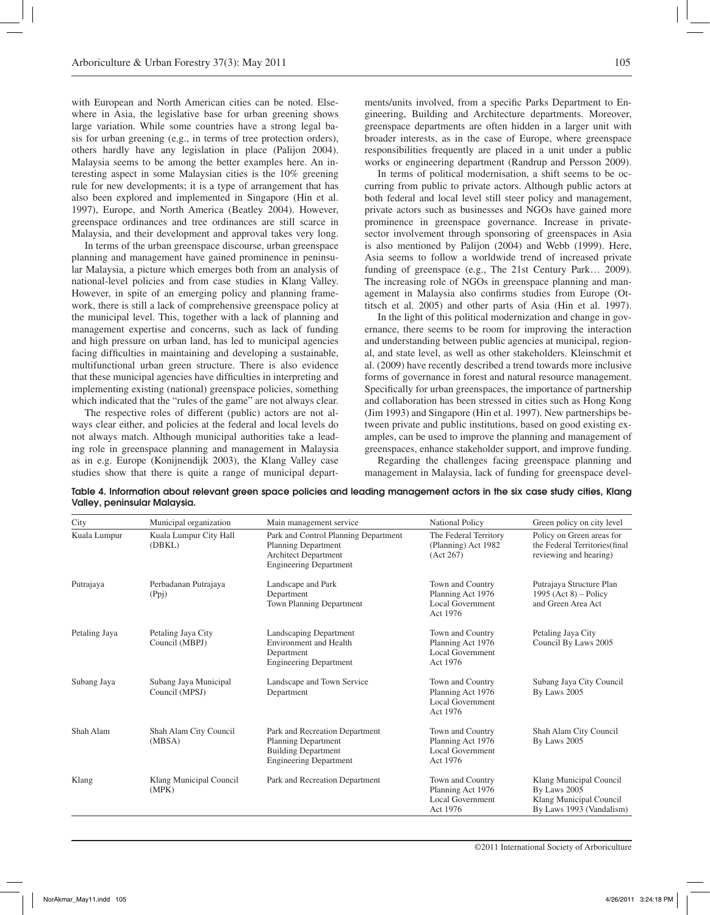with European and North American cities can be noted. Elsewhere in Asia, the legislative base for urban greening shows large variation. While some countries have a strong legal basis for urban greening (e.g., in terms of tree protection orders), others hardly have any legislation in place (Palijon 2004). Malaysia seems to be among the better examples here. An interesting aspect in some Malaysian cities is the 10% greening rule for new developments; it is a type of arrangement that has also been explored and implemented in Singapore (Hin et al. 1997), Europe, and North America (Beatley 2004). However, greenspace ordinances and tree ordinances are still scarce in Malaysia, and their development and approval takes very long.

In terms of the urban greenspace discourse, urban greenspace planning and management have gained prominence in peninsular Malaysia, a picture which emerges both from an analysis of national-level policies and from case studies in Klang Valley. However, in spite of an emerging policy and planning framework, there is still a lack of comprehensive greenspace policy at the municipal level. This, together with a lack of planning and management expertise and concerns, such as lack of funding and high pressure on urban land, has led to municipal agencies facing difficulties in maintaining and developing a sustainable, multifunctional urban green structure. There is also evidence that these municipal agencies have difficulties in interpreting and implementing existing (national) greenspace policies, something which indicated that the "rules of the game" are not always clear.

The respective roles of different (public) actors are not always clear either, and policies at the federal and local levels do not always match. Although municipal authorities take a leading role in greenspace planning and management in Malaysia as in e.g. Europe (Konijnendijk 2003), the Klang Valley case studies show that there is quite a range of municipal departments/units involved, from a specific Parks Department to Engineering, Building and Architecture departments. Moreover, greenspace departments are often hidden in a larger unit with broader interests, as in the case of Europe, where greenspace responsibilities frequently are placed in a unit under a public works or engineering department (Randrup and Persson 2009).

In terms of political modernisation, a shift seems to be occurring from public to private actors. Although public actors at both federal and local level still steer policy and management, private actors such as businesses and NGOs have gained more prominence in greenspace governance. Increase in privatesector involvement through sponsoring of greenspaces in Asia is also mentioned by Palijon (2004) and Webb (1999). Here, Asia seems to follow a worldwide trend of increased private funding of greenspace (e.g., The 21st Century Park… 2009). The increasing role of NGOs in greenspace planning and management in Malaysia also confirms studies from Europe (Ottitsch et al. 2005) and other parts of Asia (Hin et al. 1997).

In the light of this political modernization and change in governance, there seems to be room for improving the interaction and understanding between public agencies at municipal, regional, and state level, as well as other stakeholders. Kleinschmit et al. (2009) have recently described a trend towards more inclusive forms of governance in forest and natural resource management. Specifically for urban greenspaces, the importance of partnership and collaboration has been stressed in cities such as Hong Kong (Jim 1993) and Singapore (Hin et al. 1997). New partnerships between private and public institutions, based on good existing examples, can be used to improve the planning and management of greenspaces, enhance stakeholder support, and improve funding. Regarding the challenges facing greenspace planning and

management in Malaysia, lack of funding for greenspace devel-

| City          | Municipal organization                  | Main management service                                                                                                     | <b>National Policy</b>                                                       | Green policy on city level                                                                     |
|---------------|-----------------------------------------|-----------------------------------------------------------------------------------------------------------------------------|------------------------------------------------------------------------------|------------------------------------------------------------------------------------------------|
| Kuala Lumpur  | Kuala Lumpur City Hall<br>(DBKL)        | Park and Control Planning Department<br>Planning Department<br><b>Architect Department</b><br><b>Engineering Department</b> | The Federal Territory<br>(Planning) Act 1982<br>(Act 267)                    | Policy on Green areas for<br>the Federal Territories(final<br>reviewing and hearing)           |
| Putrajaya     | Perbadanan Putrajaya<br>(Ppi)           | Landscape and Park<br>Department<br>Town Planning Department                                                                | Town and Country<br>Planning Act 1976<br>Local Government<br>Act 1976        | Putrajaya Structure Plan<br>1995 (Act $8$ ) – Policy<br>and Green Area Act                     |
| Petaling Jaya | Petaling Jaya City<br>Council (MBPJ)    | Landscaping Department<br><b>Environment</b> and Health<br>Department<br><b>Engineering Department</b>                      | Town and Country<br>Planning Act 1976<br>Local Government<br>Act 1976        | Petaling Jaya City<br>Council By Laws 2005                                                     |
| Subang Jaya   | Subang Jaya Municipal<br>Council (MPSJ) | Landscape and Town Service<br>Department                                                                                    | Town and Country<br>Planning Act 1976<br>Local Government<br>Act 1976        | Subang Jaya City Council<br>By Laws 2005                                                       |
| Shah Alam     | Shah Alam City Council<br>(MBSA)        | Park and Recreation Department<br><b>Planning Department</b><br><b>Building Department</b><br><b>Engineering Department</b> | Town and Country<br>Planning Act 1976<br>Local Government<br>Act 1976        | Shah Alam City Council<br>By Laws 2005                                                         |
| Klang         | Klang Municipal Council<br>(MPK)        | Park and Recreation Department                                                                                              | Town and Country<br>Planning Act 1976<br><b>Local Government</b><br>Act 1976 | Klang Municipal Council<br>By Laws 2005<br>Klang Municipal Council<br>By Laws 1993 (Vandalism) |

Table 4. Information about relevant green space policies and leading management actors in the six case study cities, Klang Valley, peninsular Malaysia.

©2011 International Society of Arboriculture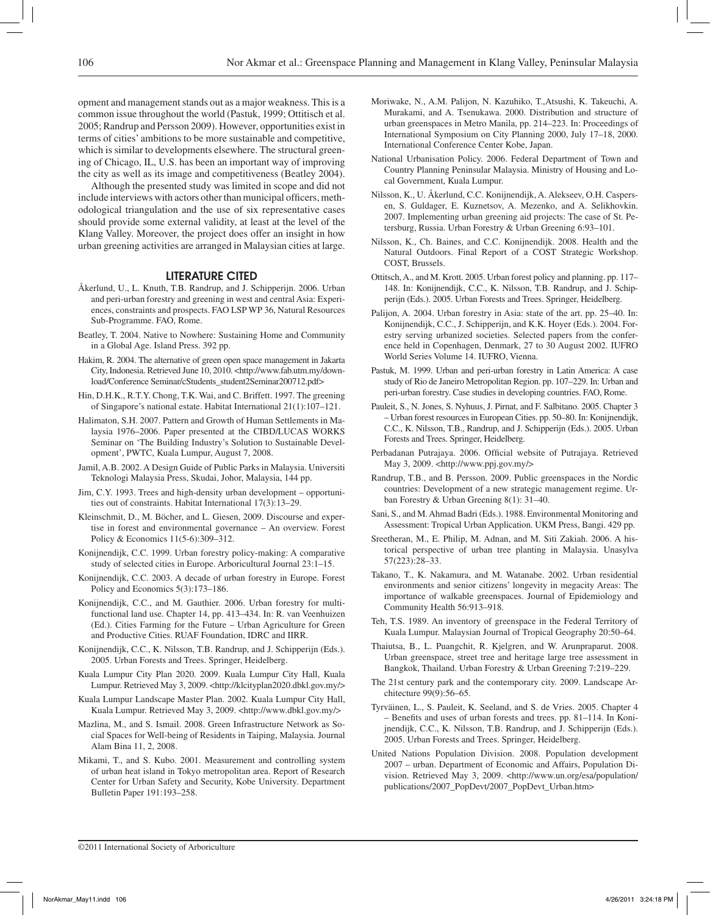opment and management stands out as a major weakness. This is a common issue throughout the world (Pastuk, 1999; Ottitisch et al. 2005; Randrup and Persson 2009). However, opportunities exist in terms of cities' ambitions to be more sustainable and competitive, which is similar to developments elsewhere. The structural greening of Chicago, IL, U.S. has been an important way of improving the city as well as its image and competitiveness (Beatley 2004).

Although the presented study was limited in scope and did not include interviews with actors other than municipal officers, methodological triangulation and the use of six representative cases should provide some external validity, at least at the level of the Klang Valley. Moreover, the project does offer an insight in how urban greening activities are arranged in Malaysian cities at large.

#### Literature Cited

- Åkerlund, U., L. Knuth, T.B. Randrup, and J. Schipperijn. 2006. Urban and peri-urban forestry and greening in west and central Asia: Experiences, constraints and prospects. FAO LSP WP 36, Natural Resources Sub-Programme. FAO, Rome.
- Beatley, T. 2004. Native to Nowhere: Sustaining Home and Community in a Global Age. Island Press. 392 pp.
- Hakim, R. 2004. The alternative of green open space management in Jakarta City, Indonesia. Retrieved June 10, 2010. <http://www.fab.utm.my/download/Conference Seminar/cStudents\_student2Seminar200712.pdf>
- Hin, D.H.K., R.T.Y. Chong, T.K. Wai, and C. Briffett. 1997. The greening of Singapore's national estate. Habitat International 21(1):107–121.
- Halimaton, S.H. 2007. Pattern and Growth of Human Settlements in Malaysia 1976–2006. Paper presented at the CIBD/LUCAS WORKS Seminar on 'The Building Industry's Solution to Sustainable Development', PWTC, Kuala Lumpur, August 7, 2008.
- Jamil, A.B. 2002. A Design Guide of Public Parks in Malaysia. Universiti Teknologi Malaysia Press, Skudai, Johor, Malaysia, 144 pp.
- Jim, C.Y. 1993. Trees and high-density urban development opportunities out of constraints. Habitat International 17(3):13–29.
- Kleinschmit, D., M. Böcher, and L. Giesen, 2009. Discourse and expertise in forest and environmental governance – An overview. Forest Policy & Economics 11(5-6):309–312.
- Konijnendijk, C.C. 1999. Urban forestry policy-making: A comparative study of selected cities in Europe. Arboricultural Journal 23:1–15.
- Konijnendijk, C.C. 2003. A decade of urban forestry in Europe. Forest Policy and Economics 5(3):173–186.
- Konijnendijk, C.C., and M. Gauthier. 2006. Urban forestry for multifunctional land use. Chapter 14, pp. 413–434. In: R. van Veenhuizen (Ed.). Cities Farming for the Future – Urban Agriculture for Green and Productive Cities. RUAF Foundation, IDRC and IIRR.
- Konijnendijk, C.C., K. Nilsson, T.B. Randrup, and J. Schipperijn (Eds.). 2005. Urban Forests and Trees. Springer, Heidelberg.
- Kuala Lumpur City Plan 2020. 2009. Kuala Lumpur City Hall, Kuala Lumpur. Retrieved May 3, 2009. < http://klcityplan2020.dbkl.gov.my/>
- Kuala Lumpur Landscape Master Plan. 2002. Kuala Lumpur City Hall, Kuala Lumpur. Retrieved May 3, 2009. <http://www.dbkl.gov.my/>
- Mazlina, M., and S. Ismail. 2008. Green Infrastructure Network as Social Spaces for Well-being of Residents in Taiping, Malaysia. Journal Alam Bina 11, 2, 2008.
- Mikami, T., and S. Kubo. 2001. Measurement and controlling system of urban heat island in Tokyo metropolitan area. Report of Research Center for Urban Safety and Security, Kobe University. Department Bulletin Paper 191:193–258.
- Moriwake, N., A.M. Palijon, N. Kazuhiko, T.,Atsushi, K. Takeuchi, A. Murakami, and A. Tsenukawa. 2000. Distribution and structure of urban greenspaces in Metro Manila, pp. 214–223. In: Proceedings of International Symposium on City Planning 2000, July 17–18, 2000. International Conference Center Kobe, Japan.
- National Urbanisation Policy. 2006. Federal Department of Town and Country Planning Peninsular Malaysia. Ministry of Housing and Local Government, Kuala Lumpur.
- Nilsson, K., U. Åkerlund, C.C. Konijnendijk, A. Alekseev, O.H. Caspersen, S. Guldager, E. Kuznetsov, A. Mezenko, and A. Selikhovkin. 2007. Implementing urban greening aid projects: The case of St. Petersburg, Russia. Urban Forestry & Urban Greening 6:93–101.
- Nilsson, K., Ch. Baines, and C.C. Konijnendijk. 2008. Health and the Natural Outdoors. Final Report of a COST Strategic Workshop. COST, Brussels.
- Ottitsch, A., and M. Krott. 2005. Urban forest policy and planning. pp. 117– 148. In: Konijnendijk, C.C., K. Nilsson, T.B. Randrup, and J. Schipperijn (Eds.). 2005. Urban Forests and Trees. Springer, Heidelberg.
- Palijon, A. 2004. Urban forestry in Asia: state of the art. pp. 25–40. In: Konijnendijk, C.C., J. Schipperijn, and K.K. Hoyer (Eds.). 2004. Forestry serving urbanized societies. Selected papers from the conference held in Copenhagen, Denmark, 27 to 30 August 2002. IUFRO World Series Volume 14. IUFRO, Vienna.
- Pastuk, M. 1999. Urban and peri-urban forestry in Latin America: A case study of Rio de Janeiro Metropolitan Region. pp. 107–229. In: Urban and peri-urban forestry. Case studies in developing countries. FAO, Rome.
- Pauleit, S., N. Jones, S. Nyhuus, J. Pirnat, and F. Salbitano. 2005. Chapter 3 – Urban forest resources in European Cities. pp. 50–80. In: Konijnendijk, C.C., K. Nilsson, T.B., Randrup, and J. Schipperijn (Eds.). 2005. Urban Forests and Trees. Springer, Heidelberg.
- Perbadanan Putrajaya. 2006. Official website of Putrajaya. Retrieved May 3, 2009. <http://www.ppj.gov.my/>
- Randrup, T.B., and B. Persson. 2009. Public greenspaces in the Nordic countries: Development of a new strategic management regime. Urban Forestry & Urban Greening 8(1): 31–40.
- Sani, S., and M. Ahmad Badri (Eds.). 1988. Environmental Monitoring and Assessment: Tropical Urban Application. UKM Press, Bangi. 429 pp.
- Sreetheran, M., E. Philip, M. Adnan, and M. Siti Zakiah. 2006. A historical perspective of urban tree planting in Malaysia. Unasylva 57(223):28–33.
- Takano, T., K. Nakamura, and M. Watanabe. 2002. Urban residential environments and senior citizens' longevity in megacity Areas: The importance of walkable greenspaces. Journal of Epidemiology and Community Health 56:913–918.
- Teh, T.S. 1989. An inventory of greenspace in the Federal Territory of Kuala Lumpur. Malaysian Journal of Tropical Geography 20:50–64.
- Thaiutsa, B., L. Puangchit, R. Kjelgren, and W. Arunpraparut. 2008. Urban greenspace, street tree and heritage large tree assessment in Bangkok, Thailand. Urban Forestry & Urban Greening 7:219–229.
- The 21st century park and the contemporary city. 2009. Landscape Architecture 99(9):56–65.
- Tyrväinen, L., S. Pauleit, K. Seeland, and S. de Vries. 2005. Chapter 4 – Benefits and uses of urban forests and trees. pp. 81–114. In Konijnendijk, C.C., K. Nilsson, T.B. Randrup, and J. Schipperijn (Eds.). 2005. Urban Forests and Trees. Springer, Heidelberg.
- United Nations Population Division. 2008. Population development 2007 – urban. Department of Economic and Affairs, Population Division. Retrieved May 3, 2009. <http://www.un.org/esa/population/ publications/2007\_PopDevt/2007\_PopDevt\_Urban.htm>

©2011 International Society of Arboriculture